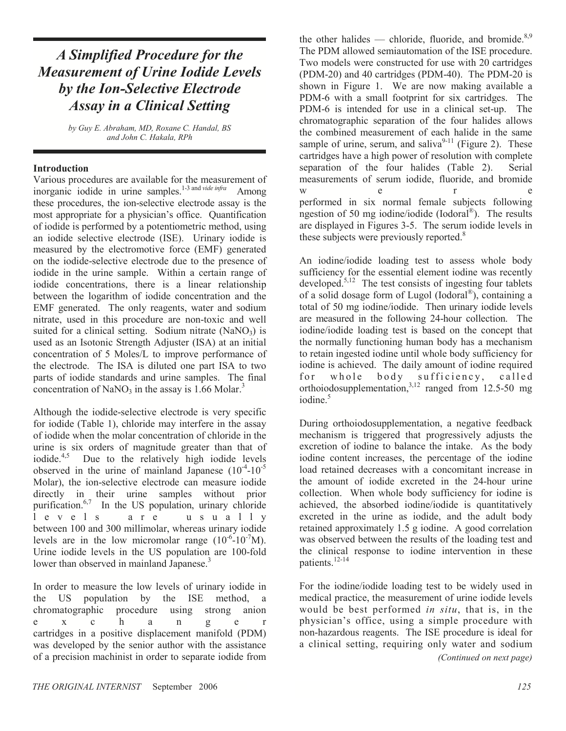## A Simplified Procedure for the Measurement of Urine Iodide Levels by the Ion-Selective Electrode Assay in a Clinical Setting

by Guy E. Abraham, MD, Roxane C. Handal, BS and John C. Hakala, RPh

#### Introduction

Various procedures are available for the measurement of inorganic iodide in urine samples.<sup>1-3 and vide infra</sup> Among these procedures, the ion-selective electrode assay is the most appropriate for a physician's office. Quantification of iodide is performed by a potentiometric method, using an iodide selective electrode (ISE). Urinary iodide is measured by the electromotive force (EMF) generated on the iodide-selective electrode due to the presence of iodide in the urine sample. Within a certain range of iodide concentrations, there is a linear relationship between the logarithm of iodide concentration and the EMF generated. The only reagents, water and sodium nitrate, used in this procedure are non-toxic and well suited for a clinical setting. Sodium nitrate  $(NaNO<sub>3</sub>)$  is used as an Isotonic Strength Adjuster (ISA) at an initial concentration of 5 Moles/L to improve performance of the electrode. The ISA is diluted one part ISA to two parts of iodide standards and urine samples. The final concentration of NaNO<sub>3</sub> in the assay is 1.66 Molar.<sup>3</sup>

Although the iodide-selective electrode is very specific for iodide (Table 1), chloride may interfere in the assay of iodide when the molar concentration of chloride in the urine is six orders of magnitude greater than that of iodide.<sup>4,5</sup> Due to the relatively high iodide levels observed in the urine of mainland Japanese  $(10^{-4}-10^{-5})$ Molar), the ion-selective electrode can measure iodide directly in their urine samples without prior purification.<sup>6,7</sup> In the US population, urinary chloride  $l$  e v e  $l$  s a r e u s u a  $l$  l y a r e u s u a l l y between 100 and 300 millimolar, whereas urinary iodide levels are in the low micromolar range  $(10^{-6}-10^{-7}M)$ . Urine iodide levels in the US population are 100-fold lower than observed in mainland Japanese.<sup>3</sup>

In order to measure the low levels of urinary iodide in the US population by the ISE method, a chromatographic procedure using strong anion chromatographic procedure using strong anion e x c h a n g e r cartridges in a positive displacement manifold (PDM) was developed by the senior author with the assistance of a precision machinist in order to separate iodide from

the other halides — chloride, fluoride, and bromide.<sup>8,9</sup> The PDM allowed semiautomation of the ISE procedure. Two models were constructed for use with 20 cartridges (PDM-20) and 40 cartridges (PDM-40). The PDM-20 is shown in Figure 1. We are now making available a PDM-6 with a small footprint for six cartridges. The PDM-6 is intended for use in a clinical set-up. The chromatographic separation of the four halides allows the combined measurement of each halide in the same sample of urine, serum, and saliva<sup>9-11</sup> (Figure 2). These cartridges have a high power of resolution with complete separation of the four halides (Table 2). Serial measurements of serum iodide, fluoride, and bromide w e r e performed in six normal female subjects following ngestion of 50 mg iodine/iodide (Iodoral<sup>®</sup>). The results are displayed in Figures 3-5. The serum iodide levels in these subjects were previously reported.<sup>8</sup>

An iodine/iodide loading test to assess whole body sufficiency for the essential element iodine was recently developed.<sup>5,12</sup> The test consists of ingesting four tablets of a solid dosage form of Lugol (Iodoral® ), containing a total of 50 mg iodine/iodide. Then urinary iodide levels are measured in the following 24-hour collection. The iodine/iodide loading test is based on the concept that the normally functioning human body has a mechanism to retain ingested iodine until whole body sufficiency for iodine is achieved. The daily amount of iodine required for whole body sufficiency, called orthoiodosupplementation, $3,12$  ranged from 12.5-50 mg iodine.<sup>5</sup>

During orthoiodosupplementation, a negative feedback mechanism is triggered that progressively adjusts the excretion of iodine to balance the intake. As the body iodine content increases, the percentage of the iodine load retained decreases with a concomitant increase in the amount of iodide excreted in the 24-hour urine collection. When whole body sufficiency for iodine is achieved, the absorbed iodine/iodide is quantitatively excreted in the urine as iodide, and the adult body retained approximately 1.5 g iodine. A good correlation was observed between the results of the loading test and the clinical response to iodine intervention in these patients.<sup>12-14</sup>

For the iodine/iodide loading test to be widely used in medical practice, the measurement of urine iodide levels would be best performed in situ, that is, in the physician's office, using a simple procedure with non-hazardous reagents. The ISE procedure is ideal for a clinical setting, requiring only water and sodium (Continued on next page)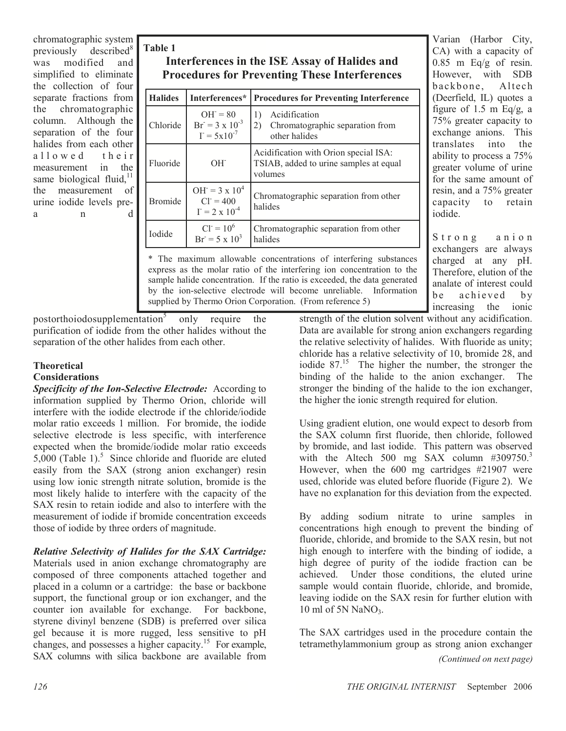chromatographic system previously described<sup>8</sup> was modified and simplified to eliminate the collection of four separate fractions from the chromatographic column. Although the separation of the four halides from each other allowed their measurement in the same biological fluid, $11$ the measurement of urine iodide levels prea n d

## Table 1 Interferences in the ISE Assay of Halides and Procedures for Preventing These Interferences

| <b>Halides</b> | Interferences*                                                      | <b>Procedures for Preventing Interference</b>                                               |
|----------------|---------------------------------------------------------------------|---------------------------------------------------------------------------------------------|
| Chloride       | $OH = 80$<br>$Br = 3 \times 10^{-3}$<br>$\Gamma = 5 \times 10^{-7}$ | Acidification<br>$\left  \right $<br>Chromatographic separation from<br>2)<br>other halides |
| Fluoride       | $OH^-$                                                              | Acidification with Orion special ISA:<br>TSIAB, added to urine samples at equal<br>volumes  |
| <b>Bromide</b> | $OH = 3 \times 10^4$<br>$Cl = 400$<br>$I = 2 \times 10^{-4}$        | Chromatographic separation from other<br>halides                                            |
| <b>I</b> odide | $CI = 10^6$<br>$Br = 5 \times 10^3$                                 | Chromatographic separation from other<br>halides                                            |

\* The maximum allowable concentrations of interfering substances express as the molar ratio of the interfering ion concentration to the sample halide concentration. If the ratio is exceeded, the data generated by the ion-selective electrode will become unreliable. Information supplied by Thermo Orion Corporation. (From reference 5)

Varian (Harbor City, CA) with a capacity of  $0.85$  m Eq/g of resin. However, with SDB backbone, Altech (Deerfield, IL) quotes a figure of 1.5 m Eq/g, a 75% greater capacity to exchange anions. This translates into the ability to process a 75% greater volume of urine for the same amount of resin, and a 75% greater capacity to retain iodide.

Strong anion exchangers are always charged at any pH. Therefore, elution of the analate of interest could be achieved by increasing the ionic

postorthoiodosupplementation<sup>5</sup> only require the purification of iodide from the other halides without the separation of the other halides from each other.

## **Theoretical**

#### Considerations

Specificity of the Ion-Selective Electrode: According to information supplied by Thermo Orion, chloride will interfere with the iodide electrode if the chloride/iodide molar ratio exceeds 1 million. For bromide, the iodide selective electrode is less specific, with interference expected when the bromide/iodide molar ratio exceeds  $5,000$  (Table 1).<sup>5</sup> Since chloride and fluoride are eluted easily from the SAX (strong anion exchanger) resin using low ionic strength nitrate solution, bromide is the most likely halide to interfere with the capacity of the SAX resin to retain iodide and also to interfere with the measurement of iodide if bromide concentration exceeds those of iodide by three orders of magnitude.

Relative Selectivity of Halides for the SAX Cartridge:

Materials used in anion exchange chromatography are composed of three components attached together and placed in a column or a cartridge: the base or backbone support, the functional group or ion exchanger, and the counter ion available for exchange. For backbone, styrene divinyl benzene (SDB) is preferred over silica gel because it is more rugged, less sensitive to pH changes, and possesses a higher capacity.<sup>15</sup> For example, SAX columns with silica backbone are available from

strength of the elution solvent without any acidification. Data are available for strong anion exchangers regarding the relative selectivity of halides. With fluoride as unity; chloride has a relative selectivity of 10, bromide 28, and iodide  $87<sup>15</sup>$ . The higher the number, the stronger the binding of the halide to the anion exchanger. The stronger the binding of the halide to the ion exchanger, the higher the ionic strength required for elution.

Using gradient elution, one would expect to desorb from the SAX column first fluoride, then chloride, followed by bromide, and last iodide. This pattern was observed with the Altech 500 mg  $SAX$  column #309750.<sup>3</sup> However, when the 600 mg cartridges #21907 were used, chloride was eluted before fluoride (Figure 2). We have no explanation for this deviation from the expected.

By adding sodium nitrate to urine samples in concentrations high enough to prevent the binding of fluoride, chloride, and bromide to the SAX resin, but not high enough to interfere with the binding of iodide, a high degree of purity of the iodide fraction can be achieved. Under those conditions, the eluted urine sample would contain fluoride, chloride, and bromide, leaving iodide on the SAX resin for further elution with 10 ml of 5N NaNO<sub>3</sub>.

The SAX cartridges used in the procedure contain the tetramethylammonium group as strong anion exchanger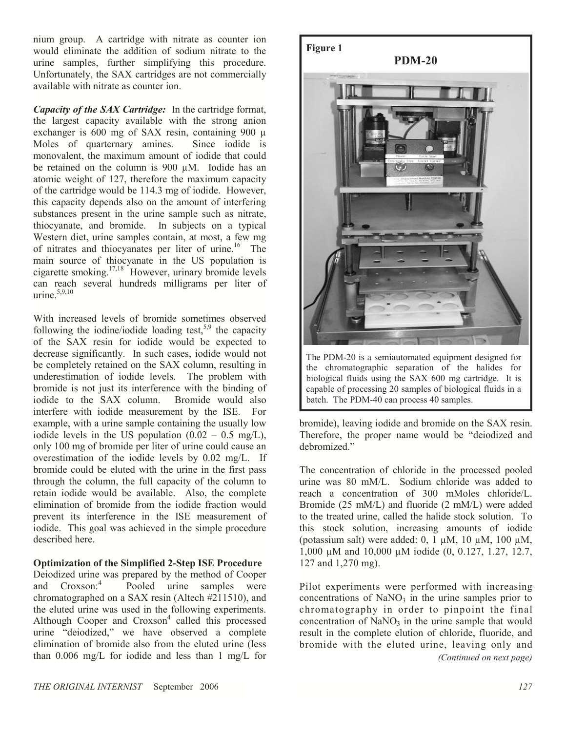nium group. A cartridge with nitrate as counter ion would eliminate the addition of sodium nitrate to the urine samples, further simplifying this procedure. Unfortunately, the SAX cartridges are not commercially available with nitrate as counter ion.

Capacity of the SAX Cartridge: In the cartridge format, the largest capacity available with the strong anion exchanger is 600 mg of SAX resin, containing 900 µ Moles of quarternary amines. Since iodide is monovalent, the maximum amount of iodide that could be retained on the column is 900 µM. Iodide has an atomic weight of 127, therefore the maximum capacity of the cartridge would be 114.3 mg of iodide. However, this capacity depends also on the amount of interfering substances present in the urine sample such as nitrate, thiocyanate, and bromide. In subjects on a typical Western diet, urine samples contain, at most, a few mg of nitrates and thiocyanates per liter of urine.<sup>16</sup> The main source of thiocyanate in the US population is cigarette smoking. $17,18$  However, urinary bromide levels can reach several hundreds milligrams per liter of urine. $5,9,10$ 

With increased levels of bromide sometimes observed following the iodine/iodide loading test,  $5.9$  the capacity of the SAX resin for iodide would be expected to decrease significantly. In such cases, iodide would not be completely retained on the SAX column, resulting in underestimation of iodide levels. The problem with bromide is not just its interference with the binding of iodide to the SAX column. Bromide would also interfere with iodide measurement by the ISE. For example, with a urine sample containing the usually low iodide levels in the US population  $(0.02 - 0.5 \text{ mg/L})$ , only 100 mg of bromide per liter of urine could cause an overestimation of the iodide levels by 0.02 mg/L. If bromide could be eluted with the urine in the first pass through the column, the full capacity of the column to retain iodide would be available. Also, the complete elimination of bromide from the iodide fraction would prevent its interference in the ISE measurement of iodide. This goal was achieved in the simple procedure described here.

#### Optimization of the Simplified 2-Step ISE Procedure

Deiodized urine was prepared by the method of Cooper and Croxson:<sup>4</sup> Pooled urine samples were chromatographed on a SAX resin (Altech #211510), and the eluted urine was used in the following experiments. Although Cooper and Croxson<sup>4</sup> called this processed urine "deiodized," we have observed a complete elimination of bromide also from the eluted urine (less than 0.006 mg/L for iodide and less than 1 mg/L for



The PDM-20 is a semiautomated equipment designed for the chromatographic separation of the halides for biological fluids using the SAX 600 mg cartridge. It is capable of processing 20 samples of biological fluids in a batch. The PDM-40 can process 40 samples.

bromide), leaving iodide and bromide on the SAX resin. Therefore, the proper name would be "deiodized and debromized."

The concentration of chloride in the processed pooled urine was 80 mM/L. Sodium chloride was added to reach a concentration of 300 mMoles chloride/L. Bromide (25 mM/L) and fluoride (2 mM/L) were added to the treated urine, called the halide stock solution. To this stock solution, increasing amounts of iodide (potassium salt) were added: 0, 1  $\mu$ M, 10  $\mu$ M, 100  $\mu$ M, 1,000 µM and 10,000 µM iodide (0, 0.127, 1.27, 12.7, 127 and 1,270 mg).

Pilot experiments were performed with increasing concentrations of  $NaNO<sub>3</sub>$  in the urine samples prior to chromatography in order to pinpoint the final concentration of  $NaNO<sub>3</sub>$  in the urine sample that would result in the complete elution of chloride, fluoride, and bromide with the eluted urine, leaving only and (Continued on next page)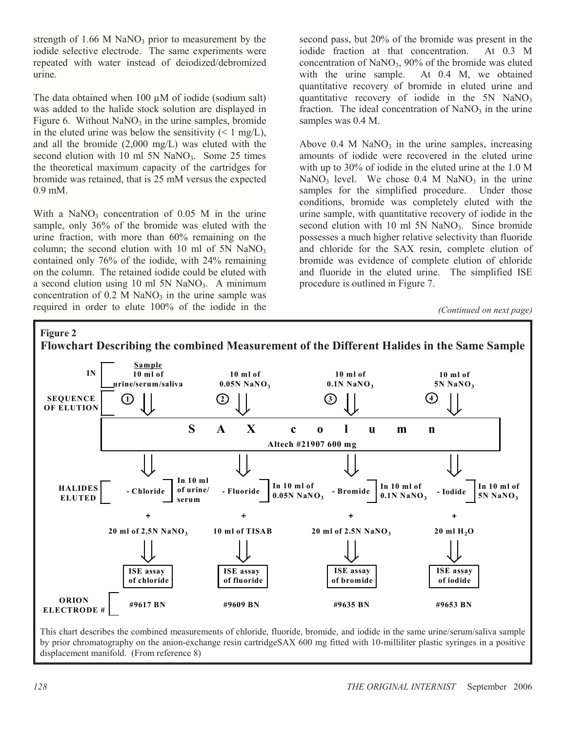strength of  $1.66$  M NaNO<sub>3</sub> prior to measurement by the iodide selective electrode. The same experiments were repeated with water instead of deiodized/debromized urine.

The data obtained when 100 uM of iodide (sodium salt) was added to the halide stock solution are displayed in Figure 6. Without  $NaNO<sub>3</sub>$  in the urine samples, bromide in the eluted urine was below the sensitivity  $($  < 1 mg/L), and all the bromide (2,000 mg/L) was eluted with the second elution with 10 ml  $5N$  NaNO<sub>3</sub>. Some 25 times the theoretical maximum capacity of the cartridges for bromide was retained, that is 25 mM versus the expected 0.9 mM.

With a NaNO<sub>3</sub> concentration of  $0.05$  M in the urine sample, only 36% of the bromide was eluted with the urine fraction, with more than 60% remaining on the column; the second elution with 10 ml of 5N NaNO<sub>3</sub> contained only 76% of the iodide, with 24% remaining on the column. The retained iodide could be eluted with a second elution using 10 ml 5N NaNO<sub>3</sub>. A minimum concentration of  $0.2$  M NaNO<sub>3</sub> in the urine sample was required in order to elute 100% of the iodide in the

second pass, but 20% of the bromide was present in the iodide fraction at that concentration. At 0.3 M concentration of  $NaNO<sub>3</sub>$ , 90% of the bromide was eluted with the urine sample. At 0.4 M, we obtained quantitative recovery of bromide in eluted urine and quantitative recovery of iodide in the  $5N$  NaNO<sub>3</sub> fraction. The ideal concentration of  $NaNO<sub>3</sub>$  in the urine samples was 0.4 M.

Above  $0.4$  M NaNO<sub>3</sub> in the urine samples, increasing amounts of iodide were recovered in the eluted urine with up to 30% of iodide in the eluted urine at the 1.0 M NaNO<sub>3</sub> level. We chose  $0.4$  M NaNO<sub>3</sub> in the urine samples for the simplified procedure. Under those conditions, bromide was completely eluted with the urine sample, with quantitative recovery of iodide in the second elution with 10 ml  $5N$  NaNO<sub>3</sub>. Since bromide possesses a much higher relative selectivity than fluoride and chloride for the SAX resin, complete elution of bromide was evidence of complete elution of chloride and fluoride in the eluted urine. The simplified ISE procedure is outlined in Figure 7.

<sup>(</sup>Continued on next page)



This chart describes the combined measurements of chloride, fluoride, bromide, and iodide in the same urine/serum/saliva sample by prior chromatography on the anion-exchange resin cartridgeSAX 600 mg fitted with 10-milliliter plastic syringes in a positive displacement manifold. (From reference 8)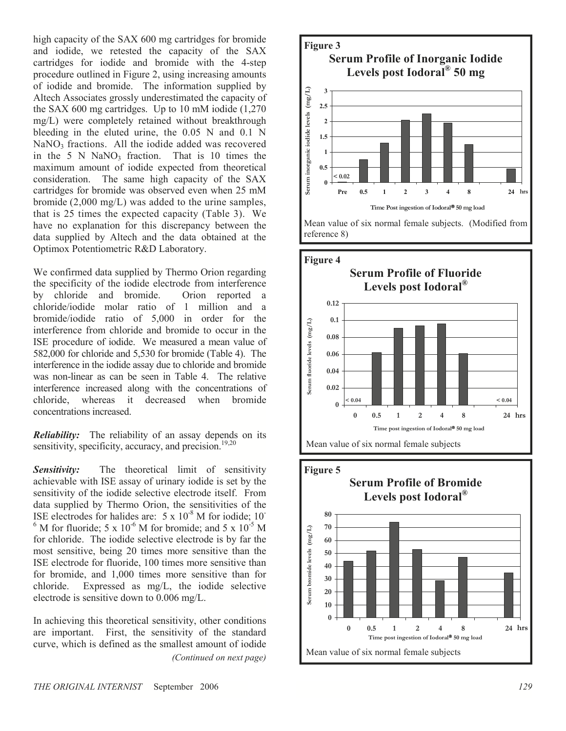high capacity of the SAX 600 mg cartridges for bromide and iodide, we retested the capacity of the SAX cartridges for iodide and bromide with the 4-step procedure outlined in Figure 2, using increasing amounts of iodide and bromide. The information supplied by Altech Associates grossly underestimated the capacity of the SAX 600 mg cartridges. Up to 10 mM iodide (1,270 mg/L) were completely retained without breakthrough bleeding in the eluted urine, the 0.05 N and 0.1 N  $NaNO<sub>3</sub>$  fractions. All the iodide added was recovered in the 5 N NaNO<sub>3</sub> fraction. That is 10 times the maximum amount of iodide expected from theoretical consideration. The same high capacity of the SAX cartridges for bromide was observed even when 25 mM bromide (2,000 mg/L) was added to the urine samples, that is 25 times the expected capacity (Table 3). We have no explanation for this discrepancy between the data supplied by Altech and the data obtained at the Optimox Potentiometric R&D Laboratory.

We confirmed data supplied by Thermo Orion regarding the specificity of the iodide electrode from interference by chloride and bromide. Orion reported a chloride/iodide molar ratio of 1 million and a bromide/iodide ratio of 5,000 in order for the interference from chloride and bromide to occur in the ISE procedure of iodide. We measured a mean value of 582,000 for chloride and 5,530 for bromide (Table 4). The interference in the iodide assay due to chloride and bromide was non-linear as can be seen in Table 4. The relative interference increased along with the concentrations of chloride, whereas it decreased when bromide concentrations increased.

**Reliability:** The reliability of an assay depends on its sensitivity, specificity, accuracy, and precision.<sup>19,20</sup>

**Sensitivity:** The theoretical limit of sensitivity achievable with ISE assay of urinary iodide is set by the sensitivity of the iodide selective electrode itself. From data supplied by Thermo Orion, the sensitivities of the ISE electrodes for halides are:  $5 \times 10^{-8}$  M for iodide; 10<sup>-8</sup>  $<sup>6</sup>$  M for fluoride; 5 x 10<sup>-6</sup> M for bromide; and 5 x 10<sup>-5</sup> M</sup> for chloride. The iodide selective electrode is by far the most sensitive, being 20 times more sensitive than the ISE electrode for fluoride, 100 times more sensitive than for bromide, and 1,000 times more sensitive than for chloride. Expressed as mg/L, the iodide selective electrode is sensitive down to 0.006 mg/L.

In achieving this theoretical sensitivity, other conditions are important. First, the sensitivity of the standard curve, which is defined as the smallest amount of iodide (Continued on next page)







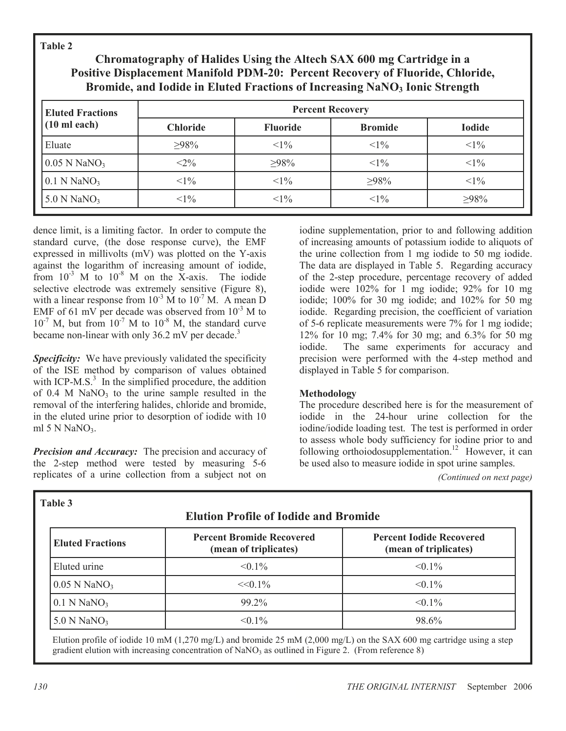Table 2

## Chromatography of Halides Using the Altech SAX 600 mg Cartridge in a Positive Displacement Manifold PDM-20: Percent Recovery of Fluoride, Chloride, Bromide, and Iodide in Eluted Fractions of Increasing NaNO3 Ionic Strength

| <b>Eluted Fractions</b>    | <b>Percent Recovery</b> |                 |                |               |  |  |
|----------------------------|-------------------------|-----------------|----------------|---------------|--|--|
| $(10 \text{ ml each})$     | <b>Chloride</b>         | <b>Fluoride</b> | <b>Bromide</b> | <b>Iodide</b> |  |  |
| Eluate                     | $>98\%$                 | $<1\%$          | $<1\%$         | $<1\%$        |  |  |
| $0.05$ N NaNO <sub>3</sub> | $<$ 2%                  | $>98\%$         | $<1\%$         | $<1\%$        |  |  |
| $0.1$ N NaNO <sub>3</sub>  | $<1\%$                  | $<1\%$          | $>98\%$        | $<1\%$        |  |  |
| $5.0$ N NaNO <sub>3</sub>  | $<1\%$                  | $<1\%$          | $<1\%$         | $>98\%$       |  |  |

dence limit, is a limiting factor. In order to compute the standard curve, (the dose response curve), the EMF expressed in millivolts (mV) was plotted on the Y-axis against the logarithm of increasing amount of iodide, from  $10^{-3}$  M to  $10^{-8}$  M on the X-axis. The iodide selective electrode was extremely sensitive (Figure 8), with a linear response from  $10^{-3}$  M to  $10^{-7}$  M. A mean D EMF of 61 mV per decade was observed from  $10^{-3}$  M to  $10^{-7}$  M, but from  $10^{-7}$  M to  $10^{-8}$  M, the standard curve became non-linear with only 36.2 mV per decade.<sup>3</sup>

**Specificity:** We have previously validated the specificity of the ISE method by comparison of values obtained with ICP-M.S. $3$  In the simplified procedure, the addition of  $0.4$  M NaNO<sub>3</sub> to the urine sample resulted in the removal of the interfering halides, chloride and bromide, in the eluted urine prior to desorption of iodide with 10 ml 5 N NaN $O<sub>3</sub>$ .

**Precision and Accuracy:** The precision and accuracy of the 2-step method were tested by measuring 5-6 replicates of a urine collection from a subject not on

iodine supplementation, prior to and following addition of increasing amounts of potassium iodide to aliquots of the urine collection from 1 mg iodide to 50 mg iodide. The data are displayed in Table 5. Regarding accuracy of the 2-step procedure, percentage recovery of added iodide were 102% for 1 mg iodide; 92% for 10 mg iodide; 100% for 30 mg iodide; and 102% for 50 mg iodide. Regarding precision, the coefficient of variation of 5-6 replicate measurements were 7% for 1 mg iodide; 12% for 10 mg; 7.4% for 30 mg; and 6.3% for 50 mg iodide. The same experiments for accuracy and precision were performed with the 4-step method and displayed in Table 5 for comparison.

## Methodology

The procedure described here is for the measurement of iodide in the 24-hour urine collection for the iodine/iodide loading test. The test is performed in order to assess whole body sufficiency for iodine prior to and following orthoiodosupplementation.<sup>12</sup> However, it can be used also to measure iodide in spot urine samples.

(Continued on next page)

| 1 able 3<br><b>Elution Profile of Iodide and Bromide</b> |                                                           |                                                          |  |  |
|----------------------------------------------------------|-----------------------------------------------------------|----------------------------------------------------------|--|--|
| <b>Eluted Fractions</b>                                  | <b>Percent Bromide Recovered</b><br>(mean of triplicates) | <b>Percent Iodide Recovered</b><br>(mean of triplicates) |  |  |
| Eluted urine                                             | $< 0.1\%$                                                 | $< 0.1\%$                                                |  |  |
| $0.05$ N NaNO <sub>3</sub>                               | $<<0.1\%$                                                 | $< 0.1\%$                                                |  |  |
| $0.1$ N NaNO <sub>3</sub>                                | 99.2%                                                     | $< 0.1\%$                                                |  |  |
| $5.0$ N NaNO <sub>3</sub>                                | $< 0.1\%$                                                 | 98.6%                                                    |  |  |

Elution profile of iodide 10 mM (1,270 mg/L) and bromide 25 mM (2,000 mg/L) on the SAX 600 mg cartridge using a step gradient elution with increasing concentration of  $\text{NaNO}_3$  as outlined in Figure 2. (From reference 8)

 $T_{\rm{max}}$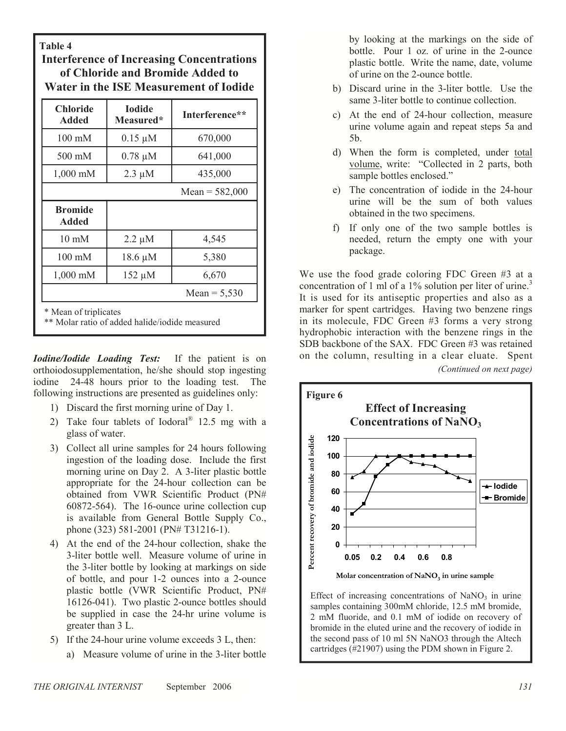Table 4

Interference of Increasing Concentrations of Chloride and Bromide Added to Water in the ISE Measurement of Iodide

| Chloride<br><b>Added</b>                                                | <b>Iodide</b><br>Measured* | Interference** |  |  |  |
|-------------------------------------------------------------------------|----------------------------|----------------|--|--|--|
| $100 \text{ mM}$                                                        | $0.15 \mu M$               | 670,000        |  |  |  |
| $500 \text{ mM}$                                                        | $0.78 \mu M$               | 641,000        |  |  |  |
| 1,000 mM                                                                | $2.3 \mu M$                | 435,000        |  |  |  |
|                                                                         | Mean = $582,000$           |                |  |  |  |
| <b>Bromide</b><br><b>Added</b>                                          |                            |                |  |  |  |
| $10 \text{ mM}$                                                         | $2.2 \mu M$                | 4,545          |  |  |  |
| $100 \text{ mM}$                                                        | $18.6 \mu M$               | 5,380          |  |  |  |
| $1,000 \text{ mM}$                                                      | 152 µM                     | 6,670          |  |  |  |
|                                                                         |                            | Mean = $5,530$ |  |  |  |
| * Mean of triplicates<br>** Molar ratio of added halide/iodide measured |                            |                |  |  |  |

**Iodine/Iodide Loading Test:** If the patient is on orthoiodosupplementation, he/she should stop ingesting iodine 24-48 hours prior to the loading test. The following instructions are presented as guidelines only:

- 1) Discard the first morning urine of Day 1.
- 2) Take four tablets of Iodoral $^{\circ}$  12.5 mg with a glass of water.
- 3) Collect all urine samples for 24 hours following ingestion of the loading dose. Include the first morning urine on Day 2. A 3-liter plastic bottle appropriate for the 24-hour collection can be obtained from VWR Scientific Product (PN# 60872-564). The 16-ounce urine collection cup is available from General Bottle Supply Co., phone (323) 581-2001 (PN# T31216-1).
- 4) At the end of the 24-hour collection, shake the 3-liter bottle well. Measure volume of urine in the 3-liter bottle by looking at markings on side of bottle, and pour 1-2 ounces into a 2-ounce plastic bottle (VWR Scientific Product, PN# 16126-041). Two plastic 2-ounce bottles should be supplied in case the 24-hr urine volume is greater than 3 L.
- 5) If the 24-hour urine volume exceeds 3 L, then:
	- a) Measure volume of urine in the 3-liter bottle

by looking at the markings on the side of bottle. Pour 1 oz. of urine in the 2-ounce plastic bottle. Write the name, date, volume of urine on the 2-ounce bottle.

- b) Discard urine in the 3-liter bottle. Use the same 3-liter bottle to continue collection.
- c) At the end of 24-hour collection, measure urine volume again and repeat steps 5a and 5b.
- d) When the form is completed, under total volume, write: "Collected in 2 parts, both sample bottles enclosed."
- e) The concentration of iodide in the 24-hour urine will be the sum of both values obtained in the two specimens.
- f) If only one of the two sample bottles is needed, return the empty one with your package.

We use the food grade coloring FDC Green #3 at a concentration of 1 ml of a 1% solution per liter of urine.<sup>3</sup> It is used for its antiseptic properties and also as a marker for spent cartridges. Having two benzene rings in its molecule, FDC Green #3 forms a very strong hydrophobic interaction with the benzene rings in the SDB backbone of the SAX. FDC Green #3 was retained on the column, resulting in a clear eluate. Spent (Continued on next page)



Effect of increasing concentrations of  $NaNO<sub>3</sub>$  in urine samples containing 300mM chloride, 12.5 mM bromide, 2 mM fluoride, and 0.1 mM of iodide on recovery of bromide in the eluted urine and the recovery of iodide in the second pass of 10 ml 5N NaNO3 through the Altech cartridges (#21907) using the PDM shown in Figure 2.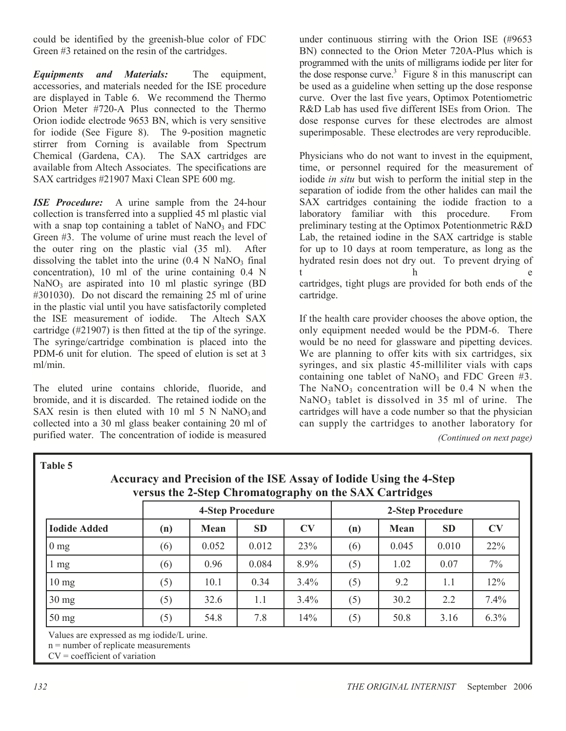could be identified by the greenish-blue color of FDC Green #3 retained on the resin of the cartridges.

Equipments and Materials: The equipment, accessories, and materials needed for the ISE procedure are displayed in Table 6. We recommend the Thermo Orion Meter #720-A Plus connected to the Thermo Orion iodide electrode 9653 BN, which is very sensitive for iodide (See Figure 8). The 9-position magnetic stirrer from Corning is available from Spectrum Chemical (Gardena, CA). The SAX cartridges are available from Altech Associates. The specifications are SAX cartridges #21907 Maxi Clean SPE 600 mg.

**ISE** Procedure: A urine sample from the 24-hour collection is transferred into a supplied 45 ml plastic vial with a snap top containing a tablet of  $NaNO<sub>3</sub>$  and FDC Green #3. The volume of urine must reach the level of the outer ring on the plastic vial (35 ml). After dissolving the tablet into the urine  $(0.4 \text{ N } \text{NaNO}_3 \text{ final})$ concentration), 10 ml of the urine containing 0.4 N NaNO<sub>3</sub> are aspirated into 10 ml plastic syringe (BD #301030). Do not discard the remaining 25 ml of urine in the plastic vial until you have satisfactorily completed<br>the ISE measurement of iodide. The Altech SAX the ISE measurement of iodide. cartridge (#21907) is then fitted at the tip of the syringe. The syringe/cartridge combination is placed into the PDM-6 unit for elution. The speed of elution is set at 3 ml/min.

The eluted urine contains chloride, fluoride, and bromide, and it is discarded. The retained iodide on the SAX resin is then eluted with 10 ml  $5 N NaNO<sub>3</sub>$  and collected into a 30 ml glass beaker containing 20 ml of purified water. The concentration of iodide is measured

under continuous stirring with the Orion ISE (#9653 BN) connected to the Orion Meter 720A-Plus which is programmed with the units of milligrams iodide per liter for the dose response curve.<sup>3</sup> Figure  $8$  in this manuscript can be used as a guideline when setting up the dose response curve. Over the last five years, Optimox Potentiometric R&D Lab has used five different ISEs from Orion. The dose response curves for these electrodes are almost superimposable. These electrodes are very reproducible.

Physicians who do not want to invest in the equipment, time, or personnel required for the measurement of iodide in situ but wish to perform the initial step in the separation of iodide from the other halides can mail the SAX cartridges containing the iodide fraction to a laboratory familiar with this procedure. From preliminary testing at the Optimox Potentionmetric R&D Lab, the retained iodine in the SAX cartridge is stable for up to 10 days at room temperature, as long as the hydrated resin does not dry out. To prevent drying of t h e cartridges, tight plugs are provided for both ends of the cartridge.

If the health care provider chooses the above option, the only equipment needed would be the PDM-6. There would be no need for glassware and pipetting devices. We are planning to offer kits with six cartridges, six syringes, and six plastic 45-milliliter vials with caps containing one tablet of  $NaNO<sub>3</sub>$  and FDC Green #3. The NaNO<sub>3</sub> concentration will be  $0.4$  N when the  $NaNO<sub>3</sub>$  tablet is dissolved in 35 ml of urine. The cartridges will have a code number so that the physician can supply the cartridges to another laboratory for

(Continued on next page)

|                     | <b>4-Step Procedure</b> |       |           | 2-Step Procedure |     |       |           |           |
|---------------------|-------------------------|-------|-----------|------------------|-----|-------|-----------|-----------|
| <b>Iodide Added</b> | (n)                     | Mean  | <b>SD</b> | <b>CV</b>        | (n) | Mean  | <b>SD</b> | <b>CV</b> |
| $0 \text{ mg}$      | (6)                     | 0.052 | 0.012     | 23%              | (6) | 0.045 | 0.010     | 22%       |
| $1 \text{ mg}$      | (6)                     | 0.96  | 0.084     | 8.9%             | (5) | 1.02  | 0.07      | $7\%$     |
| $10 \text{ mg}$     | (5)                     | 10.1  | 0.34      | 3.4%             | (5) | 9.2   | 1.1       | 12%       |
| $30 \text{ mg}$     | (5)                     | 32.6  | 1.1       | $3.4\%$          | (5) | 30.2  | 2.2       | 7.4%      |
| $50 \text{ mg}$     | (5)                     | 54.8  | 7.8       | 14%              | (5) | 50.8  | 3.16      | 6.3%      |

Accuracy and Precision of the ISE Assay of Iodide Using the 4-Step

n = number of replicate measurements

 $CV = coefficient of variation$ 

Table 5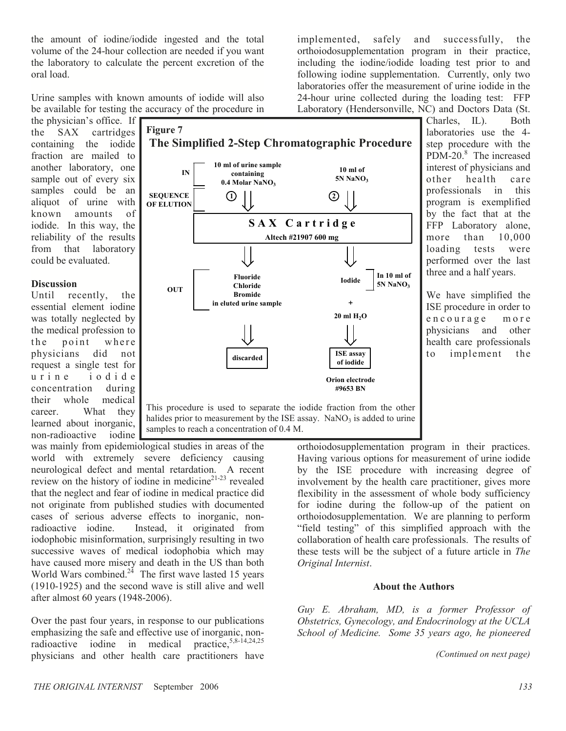the amount of iodine/iodide ingested and the total volume of the 24-hour collection are needed if you want the laboratory to calculate the percent excretion of the oral load.

Urine samples with known amounts of iodide will also be available for testing the accuracy of the procedure in

the physician's office. If the SAX cartridges containing the iodide fraction are mailed to another laboratory, one sample out of every six samples could be an aliquot of urine with known amounts of iodide. In this way, the reliability of the results from that laboratory could be evaluated.

#### **Discussion**

Until recently, the essential element iodine was totally neglected by the medical profession to the point where physicians did not request a single test for u r i n e i o d i d e concentration during their whole medical career. What they learned about inorganic, non-radioactive iodine



samples to reach a concentration of 0.4 M.

was mainly from epidemiological studies in areas of the world with extremely severe deficiency causing neurological defect and mental retardation. A recent review on the history of iodine in medicine<sup>21-23</sup> revealed that the neglect and fear of iodine in medical practice did not originate from published studies with documented cases of serious adverse effects to inorganic, nonradioactive iodine. Instead, it originated from iodophobic misinformation, surprisingly resulting in two successive waves of medical iodophobia which may have caused more misery and death in the US than both World Wars combined. $2<sup>4</sup>$  The first wave lasted 15 years (1910-1925) and the second wave is still alive and well after almost 60 years (1948-2006).

Over the past four years, in response to our publications emphasizing the safe and effective use of inorganic, non-<br>radioactive iodine in medical practice  $5,8-14,24,25$ radioactive iodine in medical physicians and other health care practitioners have

implemented, safely and successfully, the orthoiodosupplementation program in their practice, including the iodine/iodide loading test prior to and following iodine supplementation. Currently, only two laboratories offer the measurement of urine iodide in the 24-hour urine collected during the loading test: FFP Laboratory (Hendersonville, NC) and Doctors Data (St.

Charles, IL). Both laboratories use the 4 step procedure with the PDM-20.<sup>8</sup> The increased interest of physicians and other health care professionals in this program is exemplified by the fact that at the FFP Laboratory alone, more than 10,000 loading tests were performed over the last three and a half years.

We have simplified the ISE procedure in order to encourage more physicians and other health care professionals to implement the

orthoiodosupplementation program in their practices. Having various options for measurement of urine iodide by the ISE procedure with increasing degree of involvement by the health care practitioner, gives more flexibility in the assessment of whole body sufficiency for iodine during the follow-up of the patient on orthoiodosupplementation. We are planning to perform "field testing" of this simplified approach with the collaboration of health care professionals. The results of these tests will be the subject of a future article in The Original Internist.

#### About the Authors

Guy E. Abraham, MD, is a former Professor of Obstetrics, Gynecology, and Endocrinology at the UCLA School of Medicine. Some 35 years ago, he pioneered

(Continued on next page)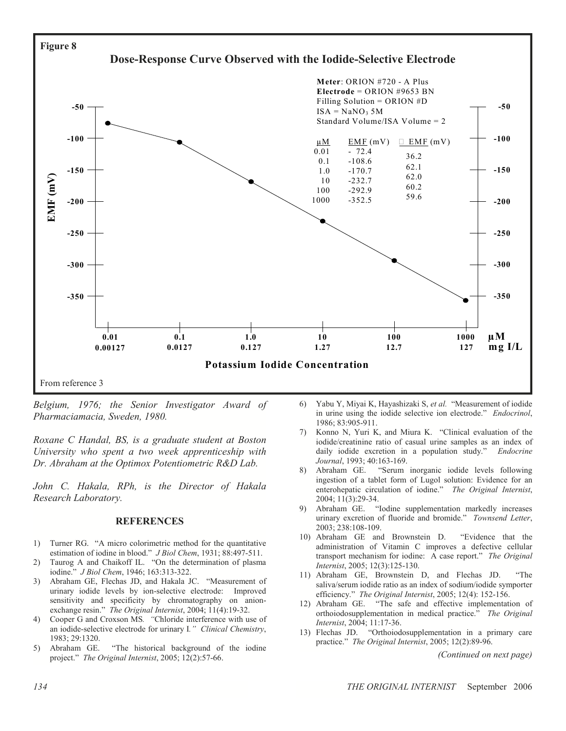

Belgium, 1976; the Senior Investigator Award of Pharmaciamacia, Sweden, 1980.

Roxane C Handal, BS, is a graduate student at Boston University who spent a two week apprenticeship with Dr. Abraham at the Optimox Potentiometric R&D Lab.

John C. Hakala, RPh, is the Director of Hakala Research Laboratory.

#### REFERENCES

- 1) Turner RG. "A micro colorimetric method for the quantitative estimation of iodine in blood." J Biol Chem, 1931; 88:497-511.
- 2) Taurog A and Chaikoff IL. "On the determination of plasma iodine." J Biol Chem, 1946; 163:313-322.
- 3) Abraham GE, Flechas JD, and Hakala JC. "Measurement of urinary iodide levels by ion-selective electrode: Improved sensitivity and specificity by chromatography on anionexchange resin." The Original Internist, 2004; 11(4):19-32.
- 4) Cooper G and Croxson MS. "Chloride interference with use of an iodide-selective electrode for urinary I." Clinical Chemistry, 1983; 29:1320.
- 5) Abraham GE. "The historical background of the iodine project." The Original Internist, 2005; 12(2):57-66.
- 6) Yabu Y, Miyai K, Hayashizaki S, et al. "Measurement of iodide in urine using the iodide selective ion electrode." Endocrinol, 1986; 83:905-911.
- 7) Konno N, Yuri K, and Miura K. "Clinical evaluation of the iodide/creatinine ratio of casual urine samples as an index of daily iodide excretion in a population study." Endocrine Journal, 1993; 40:163-169.
- 8) Abraham GE. "Serum inorganic iodide levels following ingestion of a tablet form of Lugol solution: Evidence for an enterohepatic circulation of iodine." The Original Internist, 2004; 11(3):29-34.
- 9) Abraham GE. "Iodine supplementation markedly increases urinary excretion of fluoride and bromide." Townsend Letter, 2003; 238:108-109.
- 10) Abraham GE and Brownstein D. "Evidence that the administration of Vitamin C improves a defective cellular transport mechanism for iodine: A case report." The Original Internist, 2005; 12(3):125-130.
- 11) Abraham GE, Brownstein D, and Flechas JD. "The saliva/serum iodide ratio as an index of sodium/iodide symporter efficiency." The Original Internist, 2005; 12(4): 152-156.
- 12) Abraham GE. "The safe and effective implementation of orthoiodosupplementation in medical practice." The Original Internist, 2004; 11:17-36.
- 13) Flechas JD. "Orthoiodosupplementation in a primary care practice." The Original Internist, 2005; 12(2):89-96.

(Continued on next page)